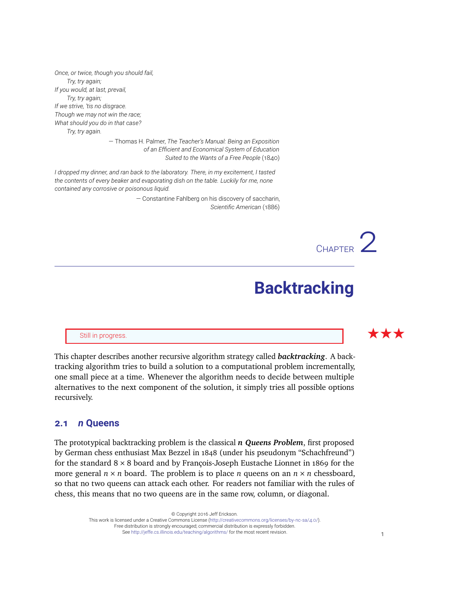*Once, or twice, though you should fail, Try, try again; If you would, at last, prevail, Try, try again; If we strive, 'tis no disgrace. Though we may not win the race; What should you do in that case? Try, try again.*

> — Thomas H. Palmer, *The Teacher's Manual: Being an Exposition of an Efficient and Economical System of Education Suited to the Wants of a Free People* (1840)

*I dropped my dinner, and ran back to the laboratory. There, in my excitement, I tasted the contents of every beaker and evaporating dish on the table. Luckily for me, none contained any corrosive or poisonous liquid.*

> — Constantine Fahlberg on his discovery of saccharin, *Scientific American* (1886)

# **Backtracking**

CHAPTER<sup>2</sup>

This chapter describes another recursive algorithm strategy called *backtracking*. A backtracking algorithm tries to build a solution to a computational problem incrementally, one small piece at a time. Whenever the algorithm needs to decide between multiple alternatives to the next component of the solution, it simply tries all possible options recursively.

# **2.1** *n* **Queens**

The prototypical backtracking problem is the classical *n Queens Problem*, first proposed by German chess enthusiast Max Bezzel in 1848 (under his pseudonym "Schachfreund") for the standard  $8 \times 8$  board and by François-Joseph Eustache Lionnet in 1869 for the more general  $n \times n$  board. The problem is to place *n* queens on an  $n \times n$  chessboard, so that no two queens can attack each other. For readers not familiar with the rules of chess, this means that no two queens are in the same row, column, or diagonal.

> © Copyright 2016 Jeff Erickson. This work is licensed under a Creative Commons License [\(http://creativecommons.org/licenses/by-nc-sa/4.0/\)](http://creativecommons.org/licenses/by-nc-sa/4.0/). Free distribution is strongly encouraged; commercial distribution is expressly forbidden. See <http://jeffe.cs.illinois.edu/teaching/algorithms/> for the most recent revision. 1

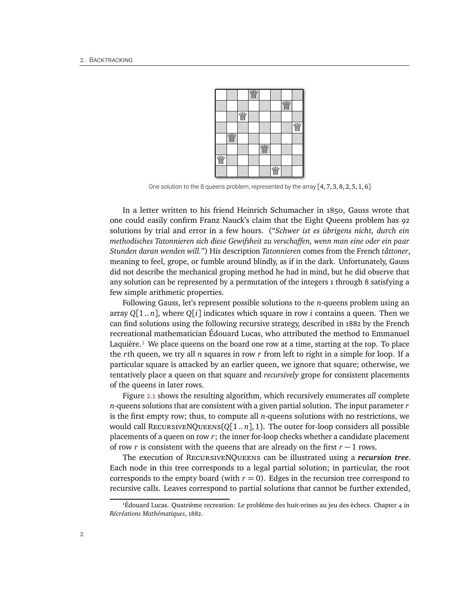

One solution to the 8 queens problem, represented by the array  $[4, 7, 3, 8, 2, 5, 1, 6]$ 

In a letter written to his friend Heinrich Schumacher in 1850, Gauss wrote that one could easily confirm Franz Nauck's claim that the Eight Queens problem has 92 solutions by trial and error in a few hours. ("*Schwer ist es übrigens nicht, durch ein methodisches Tatonnieren sich diese Gewifsheit zu verschaffen, wenn man eine oder ein paar Stunden daran wenden will.*") His description *Tatonnieren* comes from the French *tâttoner*, meaning to feel, grope, or fumble around blindly, as if in the dark. Unfortunately, Gauss did not describe the mechanical groping method he had in mind, but he did observe that any solution can be represented by a permutation of the integers 1 through 8 satisfying a few simple arithmetic properties.

Following Gauss, let's represent possible solutions to the *n*-queens problem using an array  $Q[1..n]$ , where  $Q[i]$  indicates which square in row *i* contains a queen. Then we can find solutions using the following recursive strategy, described in 1882 by the French recreational mathematician Édouard Lucas, who attributed the method to Emmanuel Laquière.<sup>1</sup> We place queens on the board one row at a time, starting at the top. To place the *r*th queen, we try all *n* squares in row *r* from left to right in a simple for loop. If a particular square is attacked by an earlier queen, we ignore that square; otherwise, we tentatively place a queen on that square and *recursively* grope for consistent placements of the queens in later rows.

Figure [2.1](#page-2-0) shows the resulting algorithm, which recursively enumerates *all* complete *n*-queens solutions that are consistent with a given partial solution. The input parameter *r* is the first empty row; thus, to compute all *n*-queens solutions with no restrictions, we would call RECURSIVENQUEENS( $Q[1..n]$ , 1). The outer for-loop considers all possible placements of a queen on row *r*; the inner for-loop checks whether a candidate placement of row *r* is consistent with the queens that are already on the first *r* − 1 rows.

The execution of RecursiveNQueens can be illustrated using a *recursion tree*. Each node in this tree corresponds to a legal partial solution; in particular, the root corresponds to the empty board (with  $r = 0$ ). Edges in the recursion tree correspond to recursive calls. Leaves correspond to partial solutions that cannot be further extended,

<span id="page-1-0"></span><sup>1</sup>Édouard Lucas. Quatrième recreation: Le probléme des huit-reines au jeu des èchecs. Chapter 4 in *Récréations Mathématiques*, 1882.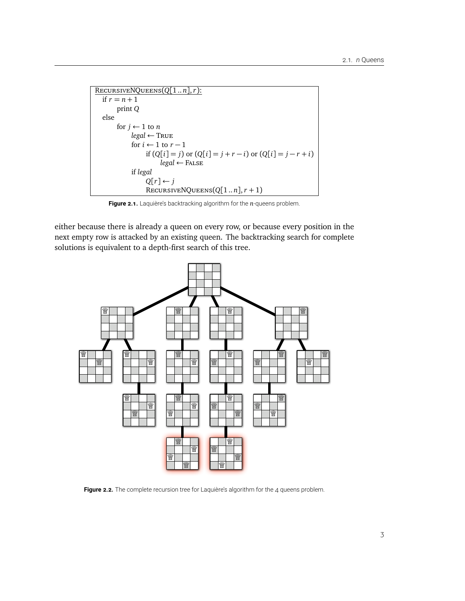```
RecursiveNQueens(Q[1 .. n],r):
  if r = n + 1print Q
  else
       for j \leftarrow 1 to nlegal ← True
            for i \leftarrow 1 to r - 1if (Q[i] = j) or (Q[i] = j + r - i) or (Q[i] = j - r + i)legal ← False
            if legal
                 Q[r] \leftarrow jRECURSIVENQUEENS(Q[1..n], r+1)
```
<span id="page-2-0"></span>**Figure 2.1.** Laquière's backtracking algorithm for the *n*-queens problem.

either because there is already a queen on every row, or because every position in the next empty row is attacked by an existing queen. The backtracking search for complete solutions is equivalent to a depth-first search of this tree.



Figure 2.2. The complete recursion tree for Laquière's algorithm for the 4 queens problem.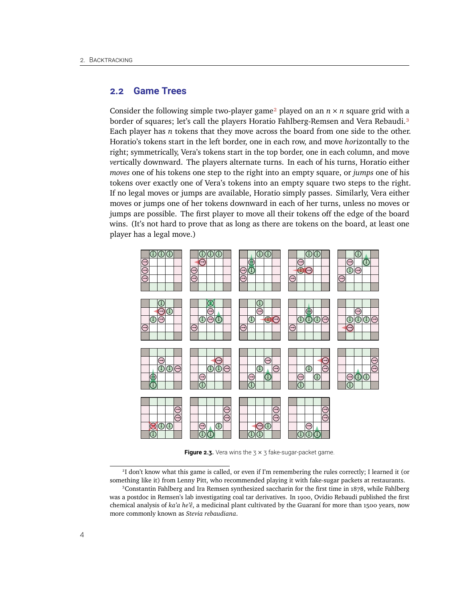## **2.2 Game Trees**

Consider the following simple two-player game<sup>2</sup> played on an  $n \times n$  square grid with a border of squares; let's call the players Horatio Fahlberg-Remsen and Vera Rebaudi.<sup>3</sup> Each player has *n* tokens that they move across the board from one side to the other. Horatio's tokens start in the left border, one in each row, and move *hor*izontally to the right; symmetrically, Vera's tokens start in the top border, one in each column, and move *ver*tically downward. The players alternate turns. In each of his turns, Horatio either *moves* one of his tokens one step to the right into an empty square, or *jumps* one of his tokens over exactly one of Vera's tokens into an empty square two steps to the right. If no legal moves or jumps are available, Horatio simply passes. Similarly, Vera either moves or jumps one of her tokens downward in each of her turns, unless no moves or jumps are possible. The first player to move all their tokens off the edge of the board wins. (It's not hard to prove that as long as there are tokens on the board, at least one player has a legal move.)



**Figure 2.3.** Vera wins the  $3 \times 3$  fake-sugar-packet game.

<span id="page-3-0"></span><sup>2</sup> I don't know what this game is called, or even if I'm remembering the rules correctly; I learned it (or something like it) from Lenny Pitt, who recommended playing it with fake-sugar packets at restaurants.

<span id="page-3-1"></span><sup>3</sup>Constantin Fahlberg and Ira Remsen synthesized saccharin for the first time in 1878, while Fahlberg was a postdoc in Remsen's lab investigating coal tar derivatives. In 1900, Ovidio Rebaudi published the first chemical analysis of *ka'a he'ê*, a medicinal plant cultivated by the Guaraní for more than 1500 years, now more commonly known as *Stevia rebaudiana*.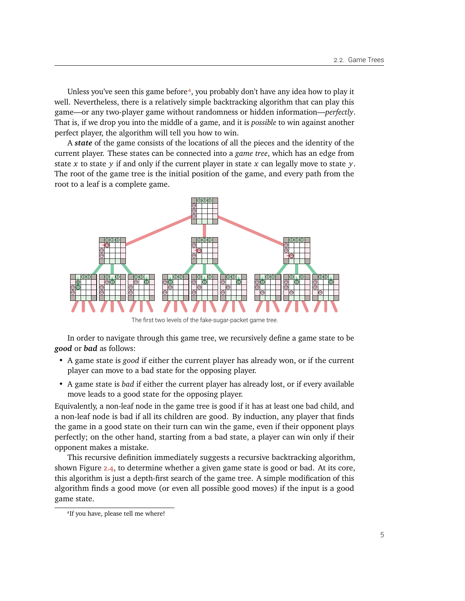Unless you've seen this game before<sup>4</sup>, you probably don't have any idea how to play it well. Nevertheless, there is a relatively simple backtracking algorithm that can play this game—or any two-player game without randomness or hidden information—*perfectly*. That is, if we drop you into the middle of a game, and it is *possible* to win against another perfect player, the algorithm will tell you how to win.

A *state* of the game consists of the locations of all the pieces and the identity of the current player. These states can be connected into a *game tree*, which has an edge from state *x* to state *y* if and only if the current player in state *x* can legally move to state *y*. The root of the game tree is the initial position of the game, and every path from the root to a leaf is a complete game.



The first two levels of the fake-sugar-packet game tree.

In order to navigate through this game tree, we recursively define a game state to be *good* or *bad* as follows:

- A game state is *good* if either the current player has already won, or if the current player can move to a bad state for the opposing player.
- A game state is *bad* if either the current player has already lost, or if every available move leads to a good state for the opposing player.

Equivalently, a non-leaf node in the game tree is good if it has at least one bad child, and a non-leaf node is bad if all its children are good. By induction, any player that finds the game in a good state on their turn can win the game, even if their opponent plays perfectly; on the other hand, starting from a bad state, a player can win only if their opponent makes a mistake.

This recursive definition immediately suggests a recursive backtracking algorithm, shown Figure [2.4,](#page-5-0) to determine whether a given game state is good or bad. At its core, this algorithm is just a depth-first search of the game tree. A simple modification of this algorithm finds a good move (or even all possible good moves) if the input is a good game state.

<span id="page-4-0"></span><sup>4</sup> If you have, please tell me where!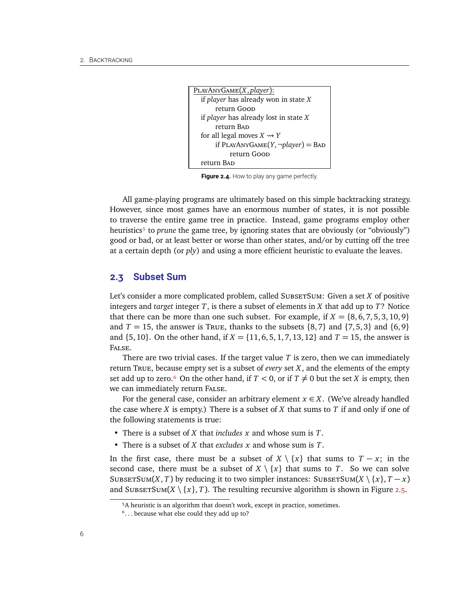```
PlayAnyGame(X, player):
  if player has already won in state X
      return Good
 if player has already lost in state X
      return BAD
 for all legal moves X \rightarrow Yif PLAYANYGAME(Y, \neg player) = BADreturn Goop
  return BAD
```
<span id="page-5-0"></span>Figure 2.4. How to play any game perfectly.

All game-playing programs are ultimately based on this simple backtracking strategy. However, since most games have an enormous number of states, it is not possible to traverse the entire game tree in practice. Instead, game programs employ other heuristics<sup>5</sup> to *prune* the game tree, by ignoring states that are obviously (or "obviously") good or bad, or at least better or worse than other states, and/or by cutting off the tree at a certain depth (or *ply*) and using a more efficient heuristic to evaluate the leaves.

## **2.3 Subset Sum**

Let's consider a more complicated problem, called SubsetTSum: Given a set *X* of positive integers and *target* integer *T*, is there a subset of elements in *X* that add up to *T*? Notice that there can be more than one such subset. For example, if  $X = \{8, 6, 7, 5, 3, 10, 9\}$ and  $T = 15$ , the answer is True, thanks to the subsets  $\{8, 7\}$  and  $\{7, 5, 3\}$  and  $\{6, 9\}$ and {5, 10}. On the other hand, if *X* = {11, 6, 5, 1, 7, 13, 12} and *T* = 15, the answer is False.

There are two trivial cases. If the target value *T* is zero, then we can immediately return True, because empty set is a subset of *every* set *X*, and the elements of the empty set add up to zero.<sup> $\epsilon$ </sup> On the other hand, if  $T < 0$ , or if  $T \neq 0$  but the set *X* is empty, then we can immediately return False.

For the general case, consider an arbitrary element  $x \in X$ . (We've already handled the case where *X* is empty.) There is a subset of *X* that sums to *T* if and only if one of the following statements is true:

- There is a subset of *X* that *includes x* and whose sum is *T*.
- There is a subset of *X* that *excludes x* and whose sum is *T*.

In the first case, there must be a subset of  $X \setminus \{x\}$  that sums to  $T - x$ ; in the second case, there must be a subset of  $X \setminus \{x\}$  that sums to *T*. So we can solve SUBSETSUM(*X*, *T*) by reducing it to two simpler instances: SUBSETSUM(*X* \ {*x*}, *T* − *x*) and SubsetTSum( $X \setminus \{x\}$ , *T*). The resulting recursive algorithm is shown in Figure [2.5.](#page-6-0)

<span id="page-5-1"></span><sup>5</sup>A heuristic is an algorithm that doesn't work, except in practice, sometimes.

<span id="page-5-2"></span><sup>&</sup>lt;sup>6</sup>... because what else could they add up to?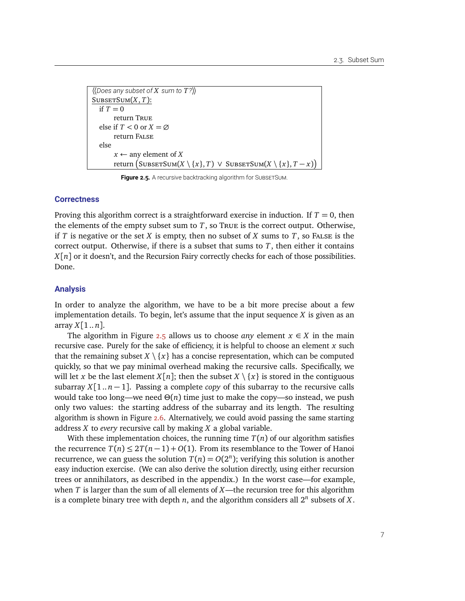```
〈〈Does any subset of X sum to T?〉〉
SUBSETSUM(X, T):
   if T = 0return True
   else if T < 0 or X = \emptysetreturn False
   else
        x \leftarrow any element of X
         \mathsf{return}\left(\mathsf{SUBSETSum}(X\setminus\{x\},T)\;\vee\;\mathsf{SUBSETSum}(X\setminus\{x\},T-x)\right)
```
<span id="page-6-0"></span>**Figure 2.5.** A recursive backtracking algorithm for SUBSETSUM.

#### **Correctness**

Proving this algorithm correct is a straightforward exercise in induction. If  $T = 0$ , then the elements of the empty subset sum to  $T$ , so  $T$ RUE is the correct output. Otherwise, if *T* is negative or the set *X* is empty, then no subset of *X* sums to *T*, so FALSE is the correct output. Otherwise, if there is a subset that sums to *T*, then either it contains *X*[*n*] or it doesn't, and the Recursion Fairy correctly checks for each of those possibilities. Done.

#### **Analysis**

In order to analyze the algorithm, we have to be a bit more precise about a few implementation details. To begin, let's assume that the input sequence *X* is given as an array  $X[1..n]$ .

The algorithm in Figure [2.5](#page-6-0) allows us to choose *any* element  $x \in X$  in the main recursive case. Purely for the sake of efficiency, it is helpful to choose an element *x* such that the remaining subset  $X \setminus \{x\}$  has a concise representation, which can be computed quickly, so that we pay minimal overhead making the recursive calls. Specifically, we will let x be the last element  $X[n]$ ; then the subset  $X \setminus \{x\}$  is stored in the contiguous subarray *X*[1.. *n* − 1]. Passing a complete *copy* of this subarray to the recursive calls would take too long—we need  $Θ(n)$  time just to make the copy—so instead, we push only two values: the starting address of the subarray and its length. The resulting algorithm is shown in Figure [2.6.](#page-7-0) Alternatively, we could avoid passing the same starting address *X* to *every* recursive call by making *X* a global variable.

With these implementation choices, the running time  $T(n)$  of our algorithm satisfies the recurrence  $T(n) \leq 2T(n-1) + O(1)$ . From its resemblance to the Tower of Hanoi recurrence, we can guess the solution  $T(n) = O(2^n)$ ; verifying this solution is another easy induction exercise. (We can also derive the solution directly, using either recursion trees or annihilators, as described in the appendix.) In the worst case—for example, when *T* is larger than the sum of all elements of *X*—the recursion tree for this algorithm is a complete binary tree with depth  $n$ , and the algorithm considers all  $2^n$  subsets of  $X$ .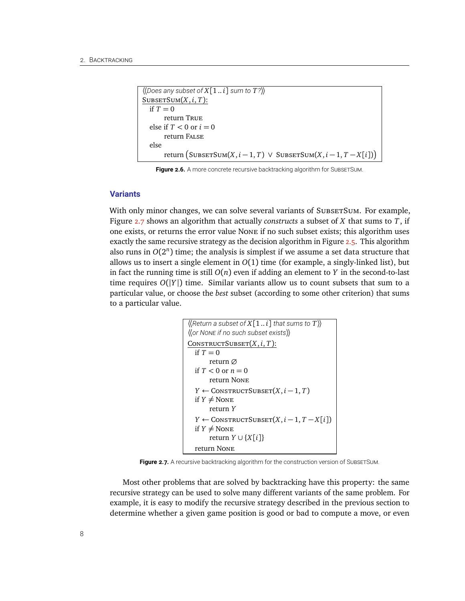```
\langle Does any subset of X[1..i] sum to T?SUBSECTION(X, i, T):
  if T = 0return True
  else if T < 0 or i = 0return False
  else
        \texttt{return}\left(\texttt{SUBSETSum}(X, i-1, T) \: \lor \: \texttt{SUBSETSum}(X, i-1, T-X[i])\right)
```
<span id="page-7-0"></span>Figure 2.6. A more concrete recursive backtracking algorithm for SUBSETSUM.

#### **Variants**

With only minor changes, we can solve several variants of SubsetTsum. For example, Figure [2.7](#page-7-1) shows an algorithm that actually *constructs* a subset of *X* that sums to *T*, if one exists, or returns the error value None if no such subset exists; this algorithm uses exactly the same recursive strategy as the decision algorithm in Figure [2.5.](#page-6-0) This algorithm also runs in  $O(2^n)$  time; the analysis is simplest if we assume a set data structure that allows us to insert a single element in *O*(1) time (for example, a singly-linked list), but in fact the running time is still  $O(n)$  even if adding an element to *Y* in the second-to-last time requires  $O(|Y|)$  time. Similar variants allow us to count subsets that sum to a particular value, or choose the *best* subset (according to some other criterion) that sums to a particular value.

```
\langle Return a subset of X[1..i] that sums to T\rangle〈〈or NONE if no such subset exists〉〉
CONSTRUCTSUBSET(X, i, T):
  if T = 0return ∅
  if T < 0 or n = 0return None
  Y ← CONSTRUCTSUBSET(X, i − 1, T)if Y \neq None
      return Y
  Y ← CONSTRUCTSUBSET(X, i-1, T-X[i])if Y \neq None
      return Y ∪ {X[i]}
  return None
```
<span id="page-7-1"></span>Figure 2.7. A recursive backtracking algorithm for the construction version of SUBSETSUM.

Most other problems that are solved by backtracking have this property: the same recursive strategy can be used to solve many different variants of the same problem. For example, it is easy to modify the recursive strategy described in the previous section to determine whether a given game position is good or bad to compute a move, or even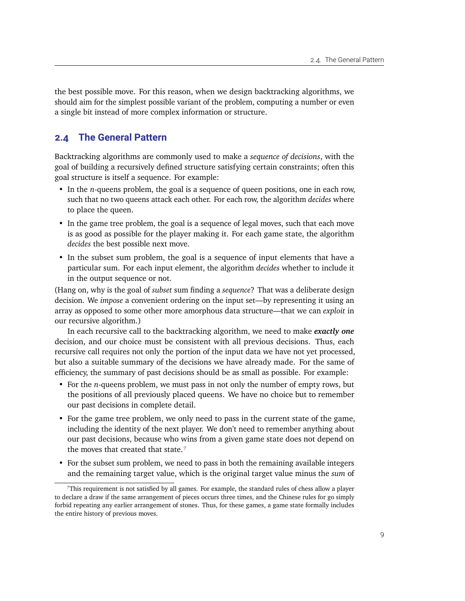the best possible move. For this reason, when we design backtracking algorithms, we should aim for the simplest possible variant of the problem, computing a number or even a single bit instead of more complex information or structure.

# **2.4 The General Pattern**

Backtracking algorithms are commonly used to make a *sequence of decisions*, with the goal of building a recursively defined structure satisfying certain constraints; often this goal structure is itself a sequence. For example:

- In the *n*-queens problem, the goal is a sequence of queen positions, one in each row, such that no two queens attack each other. For each row, the algorithm *decides* where to place the queen.
- In the game tree problem, the goal is a sequence of legal moves, such that each move is as good as possible for the player making it. For each game state, the algorithm *decides* the best possible next move.
- In the subset sum problem, the goal is a sequence of input elements that have a particular sum. For each input element, the algorithm *decides* whether to include it in the output sequence or not.

(Hang on, why is the goal of *subset* sum finding a *sequence*? That was a deliberate design decision. We *impose* a convenient ordering on the input set—by representing it using an array as opposed to some other more amorphous data structure—that we can *exploit* in our recursive algorithm.)

In each recursive call to the backtracking algorithm, we need to make *exactly one* decision, and our choice must be consistent with all previous decisions. Thus, each recursive call requires not only the portion of the input data we have not yet processed, but also a suitable summary of the decisions we have already made. For the same of efficiency, the summary of past decisions should be as small as possible. For example:

- For the *n*-queens problem, we must pass in not only the number of empty rows, but the positions of all previously placed queens. We have no choice but to remember our past decisions in complete detail.
- For the game tree problem, we only need to pass in the current state of the game, including the identity of the next player. We don't need to remember anything about our past decisions, because who wins from a given game state does not depend on the moves that created that state.<sup>7</sup>
- For the subset sum problem, we need to pass in both the remaining available integers and the remaining target value, which is the original target value minus the *sum* of

<span id="page-8-0"></span><sup>7</sup>This requirement is not satisfied by all games. For example, the standard rules of chess allow a player to declare a draw if the same arrangement of pieces occurs three times, and the Chinese rules for go simply forbid repeating any earlier arrangement of stones. Thus, for these games, a game state formally includes the entire history of previous moves.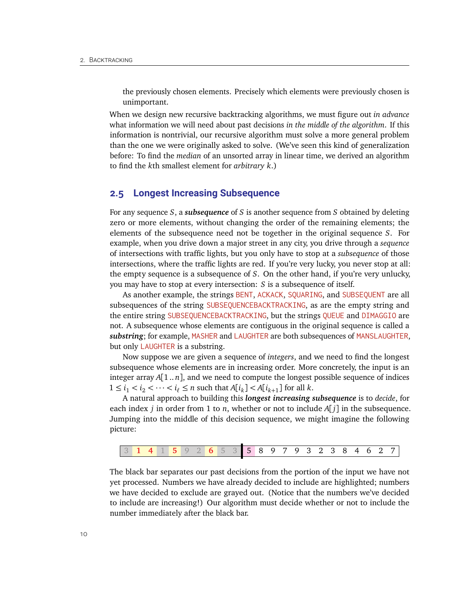the previously chosen elements. Precisely which elements were previously chosen is unimportant.

When we design new recursive backtracking algorithms, we must figure out *in advance* what information we will need about past decisions *in the middle of the algorithm*. If this information is nontrivial, our recursive algorithm must solve a more general problem than the one we were originally asked to solve. (We've seen this kind of generalization before: To find the *median* of an unsorted array in linear time, we derived an algorithm to find the *k*th smallest element for *arbitrary k*.)

### **2.5 Longest Increasing Subsequence**

For any sequence *S*, a *subsequence* of *S* is another sequence from *S* obtained by deleting zero or more elements, without changing the order of the remaining elements; the elements of the subsequence need not be together in the original sequence *S*. For example, when you drive down a major street in any city, you drive through a *sequence* of intersections with traffic lights, but you only have to stop at a *subsequence* of those intersections, where the traffic lights are red. If you're very lucky, you never stop at all: the empty sequence is a subsequence of *S*. On the other hand, if you're very unlucky, you may have to stop at every intersection: *S* is a subsequence of itself.

As another example, the strings BENT, ACKACK, SQUARING, and SUBSEQUENT are all subsequences of the string SUBSEQUENCEBACKTRACKING, as are the empty string and the entire string SUBSEQUENCEBACKTRACKING, but the strings QUEUE and DIMAGGIO are not. A subsequence whose elements are contiguous in the original sequence is called a *substring*; for example, MASHER and LAUGHTER are both subsequences of MANSLAUGHTER, but only LAUGHTER is a substring.

Now suppose we are given a sequence of *integers*, and we need to find the longest subsequence whose elements are in increasing order. More concretely, the input is an integer array  $A[1..n]$ , and we need to compute the longest possible sequence of indices  $1 \le i_1 < i_2 < \cdots < i_\ell \le n$  such that  $A[i_k] < A[i_{k+1}]$  for all  $k$ .

A natural approach to building this *longest increasing subsequence* is to *decide*, for each index *j* in order from 1 to *n*, whether or not to include *A*[ *j*] in the subsequence. Jumping into the middle of this decision sequence, we might imagine the following picture:

|  |  |  |  |  |  |  |  |  | 2 6 5 3 5 8 9 7 9 3 2 3 8 4 6 |  |  |  |  |  |  |  |  |  |  |  |  |  |
|--|--|--|--|--|--|--|--|--|-------------------------------|--|--|--|--|--|--|--|--|--|--|--|--|--|
|--|--|--|--|--|--|--|--|--|-------------------------------|--|--|--|--|--|--|--|--|--|--|--|--|--|

The black bar separates our past decisions from the portion of the input we have not yet processed. Numbers we have already decided to include are highlighted; numbers we have decided to exclude are grayed out. (Notice that the numbers we've decided to include are increasing!) Our algorithm must decide whether or not to include the number immediately after the black bar.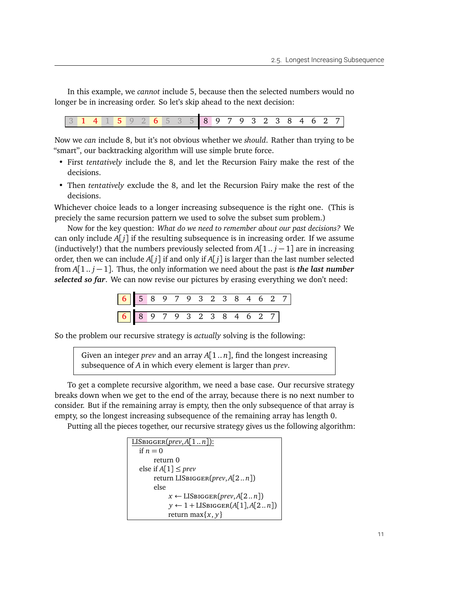In this example, we *cannot* include 5, because then the selected numbers would no longer be in increasing order. So let's skip ahead to the next decision:

|  |  |  |  | 2000 E 200 | $\overline{\phantom{a}}$ | <sup>n</sup> | $\overline{ }$ |  | 9 3 2 3 6 |  |  |  |
|--|--|--|--|------------|--------------------------|--------------|----------------|--|-----------|--|--|--|
|  |  |  |  |            |                          |              |                |  |           |  |  |  |

Now we *can* include 8, but it's not obvious whether we *should*. Rather than trying to be "smart", our backtracking algorithm will use simple brute force.

- First *tentatively* include the 8, and let the Recursion Fairy make the rest of the decisions.
- Then *tentatively* exclude the 8, and let the Recursion Fairy make the rest of the decisions.

Whichever choice leads to a longer increasing subsequence is the right one. (This is preciely the same recursion pattern we used to solve the subset sum problem.)

Now for the key question: *What do we need to remember about our past decisions?* We can only include *A*[ *j*] if the resulting subsequence is in increasing order. If we assume (inductively!) that the numbers previously selected from  $A[1..j-1]$  are in increasing order, then we can include *A*[ *j*] if and only if *A*[ *j*] is larger than the last number selected from *A*[1 .. *j* − 1]. Thus, the only information we need about the past is *the last number selected so far*. We can now revise our pictures by erasing everything we don't need:

So the problem our recursive strategy is *actually* solving is the following:

Given an integer *prev* and an array *A*[1 .. *n*], find the longest increasing subsequence of *A* in which every element is larger than *prev*.

To get a complete recursive algorithm, we need a base case. Our recursive strategy breaks down when we get to the end of the array, because there is no next number to consider. But if the remaining array is empty, then the only subsequence of that array is empty, so the longest increasing subsequence of the remaining array has length 0.

Putting all the pieces together, our recursive strategy gives us the following algorithm:

```
LISBIGGER(prev, A[1..n]):
  if n = 0return 0
  else if A[1] \leq prevreturn LISbigger(prev,A[2 .. n])
       else
             x \leftarrow \text{LISBigGER}(prev, A[2..n])y \leftarrow 1 + \text{LISBigGER}(A[1], A[2..n])return max{x, y}
```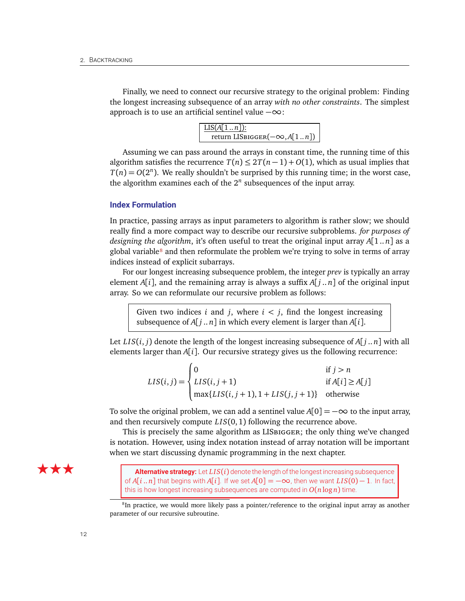Finally, we need to connect our recursive strategy to the original problem: Finding the longest increasing subsequence of an array *with no other constraints*. The simplest approach is to use an artificial sentinel value  $-\infty$ :

| $LIS(A[1n])$ :                      |
|-------------------------------------|
| return LISBIGGER $(-\infty, A[1n])$ |

Assuming we can pass around the arrays in constant time, the running time of this algorithm satisfies the recurrence  $T(n) \leq 2T(n-1) + O(1)$ , which as usual implies that  $T(n) = O(2^n)$ . We really shouldn't be surprised by this running time; in the worst case, the algorithm examines each of the  $2^n$  subsequences of the input array.

### **Index Formulation**

In practice, passing arrays as input parameters to algorithm is rather slow; we should really find a more compact way to describe our recursive subproblems. *for purposes of designing the algorithm*, it's often useful to treat the original input array *A*[1 .. *n*] as a global variable $\frac{8}{3}$  and then reformulate the problem we're trying to solve in terms of array indices instead of explicit subarrays.

For our longest increasing subsequence problem, the integer *prev* is typically an array element  $A[i]$ , and the remaining array is always a suffix  $A[j..n]$  of the original input array. So we can reformulate our recursive problem as follows:

Given two indices *i* and *j*, where  $i < j$ , find the longest increasing subsequence of  $A[i..n]$  in which every element is larger than  $A[i]$ .

Let  $LIS(i, j)$  denote the length of the longest increasing subsequence of  $A[j..n]$  with all elements larger than  $A[i]$ . Our recursive strategy gives us the following recurrence:

$$
LIS(i, j) = \begin{cases} 0 & \text{if } j > n \\ LIS(i, j + 1) & \text{if } A[i] \ge A[j] \\ \max\{LIS(i, j + 1), 1 + LIS(j, j + 1)\} & \text{otherwise} \end{cases}
$$

To solve the original problem, we can add a sentinel value  $A[0] = -\infty$  to the input array, and then recursively compute *LIS*(0, 1) following the recurrence above.

This is precisely the same algorithm as LISbigger; the only thing we've changed is notation. However, using index notation instead of array notation will be important when we start discussing dynamic programming in the next chapter.



★ ★ ★ Alternative strategy: Let *LIS*(*i*) denote the length of the longest increasing subsequence of  $A[i..n]$  that begins with  $A[i]$ . If we set  $A[0] = -\infty$ , then we want  $LIS(0) - 1$ . In fact, this is how longest increasing subsequences are computed in  $O(n \log n)$  time.

<span id="page-11-0"></span><sup>&</sup>lt;sup>8</sup>In practice, we would more likely pass a pointer/reference to the original input array as another parameter of our recursive subroutine.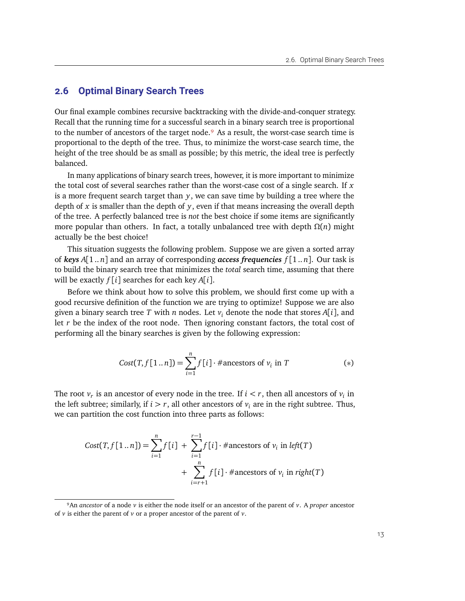## **2.6 Optimal Binary Search Trees**

Our final example combines recursive backtracking with the divide-and-conquer strategy. Recall that the running time for a successful search in a binary search tree is proportional to the number of ancestors of the target node.<sup>9</sup> As a result, the worst-case search time is proportional to the depth of the tree. Thus, to minimize the worst-case search time, the height of the tree should be as small as possible; by this metric, the ideal tree is perfectly balanced.

In many applications of binary search trees, however, it is more important to minimize the total cost of several searches rather than the worst-case cost of a single search. If *x* is a more frequent search target than *y*, we can save time by building a tree where the depth of *x* is smaller than the depth of *y*, even if that means increasing the overall depth of the tree. A perfectly balanced tree is *not* the best choice if some items are significantly more popular than others. In fact, a totally unbalanced tree with depth *Ω*(*n*) might actually be the best choice!

This situation suggests the following problem. Suppose we are given a sorted array of *keys A*[1 .. *n*] and an array of corresponding *access frequencies f* [1 .. *n*]. Our task is to build the binary search tree that minimizes the *total* search time, assuming that there will be exactly *f* [*i*] searches for each key *A*[*i*].

Before we think about how to solve this problem, we should first come up with a good recursive definition of the function we are trying to optimize! Suppose we are also given a binary search tree *T* with *n* nodes. Let *v<sup>i</sup>* denote the node that stores *A*[*i*], and let *r* be the index of the root node. Then ignoring constant factors, the total cost of performing all the binary searches is given by the following expression:

$$
Cost(T, f[1..n]) = \sum_{i=1}^{n} f[i] \cdot \# \text{ancestors of } v_i \text{ in } T \tag{*}
$$

The root  $v_r$  is an ancestor of every node in the tree. If  $i < r$ , then all ancestors of  $v_i$  in the left subtree; similarly, if  $i > r$ , all other ancestors of  $v_i$  are in the right subtree. Thus, we can partition the cost function into three parts as follows:

$$
Cost(T, f[1..n]) = \sum_{i=1}^{n} f[i] + \sum_{i=1}^{r-1} f[i] \cdot \# \text{ancestors of } v_i \text{ in } left(T)
$$

$$
+ \sum_{i=r+1}^{n} f[i] \cdot \# \text{ancestors of } v_i \text{ in } right(T)
$$

<span id="page-12-0"></span><sup>9</sup>An *ancestor* of a node *v* is either the node itself or an ancestor of the parent of *v*. A *proper* ancestor of *v* is either the parent of *v* or a proper ancestor of the parent of *v*.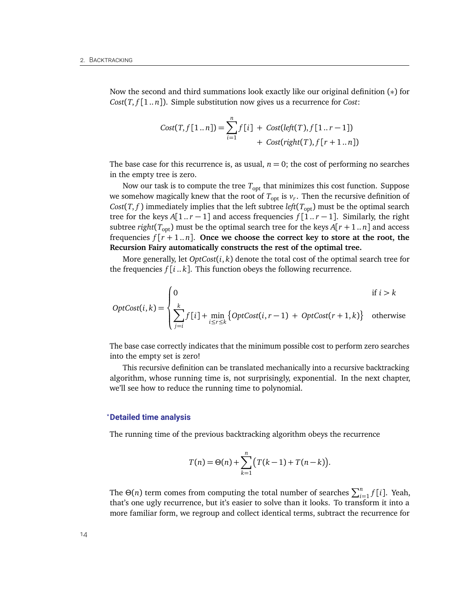Now the second and third summations look exactly like our original definition (∗) for *Cost*(*T*, *f* [1 .. *n*]). Simple substitution now gives us a recurrence for *Cost*:

$$
Cost(T, f[1..n]) = \sum_{i=1}^{n} f[i] + Cost(left(T), f[1..r-1]) + Cost(right(T), f[r+1..n])
$$

The base case for this recurrence is, as usual,  $n = 0$ ; the cost of performing no searches in the empty tree is zero.

Now our task is to compute the tree  $T_{\text{opt}}$  that minimizes this cost function. Suppose we somehow magically knew that the root of  $T_{\text{opt}}$  is  $v_r$ . Then the recursive definition of *Cost*(*T*, *f*) immediately implies that the left subtree *left*( $T_{opt}$ ) must be the optimal search tree for the keys  $A[1..r-1]$  and access frequencies  $f[1..r-1]$ . Similarly, the right subtree *right*( $T_{opt}$ ) must be the optimal search tree for the keys  $A[r + 1..n]$  and access frequencies  $f[r+1..n]$ . Once we choose the correct key to store at the root, the **Recursion Fairy automatically constructs the rest of the optimal tree.**

More generally, let *OptCost*(*i*, *k*) denote the total cost of the optimal search tree for the frequencies  $f[i..k]$ . This function obeys the following recurrence.

$$
OptCost(i,k) = \begin{cases} 0 & \text{if } i > k \\ \sum_{j=i}^{k} f[i] + \min_{i \le r \le k} \{ OptCost(i, r-1) + OptCost(r+1, k) \} & \text{otherwise} \end{cases}
$$

The base case correctly indicates that the minimum possible cost to perform zero searches into the empty set is zero!

This recursive definition can be translated mechanically into a recursive backtracking algorithm, whose running time is, not surprisingly, exponential. In the next chapter, we'll see how to reduce the running time to polynomial.

#### *?***Detailed time analysis**

The running time of the previous backtracking algorithm obeys the recurrence

$$
T(n) = \Theta(n) + \sum_{k=1}^{n} (T(k-1) + T(n-k)).
$$

The  $\Theta(n)$  term comes from computing the total number of searches  $\sum_{i=1}^{n} f[i]$ . Yeah, that's one ugly recurrence, but it's easier to solve than it looks. To transform it into a more familiar form, we regroup and collect identical terms, subtract the recurrence for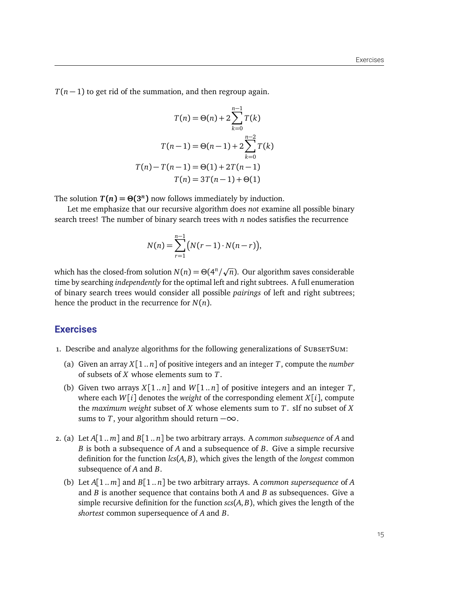*T*(*n* − 1) to get rid of the summation, and then regroup again.

$$
T(n) = \Theta(n) + 2\sum_{k=0}^{n-1} T(k)
$$

$$
T(n-1) = \Theta(n-1) + 2\sum_{k=0}^{n-2} T(k)
$$

$$
T(n) - T(n-1) = \Theta(1) + 2T(n-1)
$$

$$
T(n) = 3T(n-1) + \Theta(1)
$$

The solution  $T(n) = \Theta(3^n)$  now follows immediately by induction.

Let me emphasize that our recursive algorithm does *not* examine all possible binary search trees! The number of binary search trees with  $n$  nodes satisfies the recurrence

$$
N(n) = \sum_{r=1}^{n-1} (N(r-1) \cdot N(n-r)),
$$

which has the closed-from solution  $N(n) = \Theta(4^n)$ p  $\overline{n}$ ). Our algorithm saves considerable time by searching *independently* for the optimal left and right subtrees. A full enumeration of binary search trees would consider all possible *pairings* of left and right subtrees; hence the product in the recurrence for *N*(*n*).

## **Exercises**

- 1. Describe and analyze algorithms for the following generalizations of SubsetTSum:
	- (a) Given an array  $X[1..n]$  of positive integers and an integer T, compute the *number* of subsets of *X* whose elements sum to *T*.
	- (b) Given two arrays  $X[1..n]$  and  $W[1..n]$  of positive integers and an integer *T*, where each  $W[i]$  denotes the *weight* of the corresponding element  $X[i]$ , compute the *maximum weight* subset of *X* whose elements sum to *T*. sIf no subset of *X* sums to *T*, your algorithm should return  $-\infty$ .
- 2. (a) Let *A*[1 .. *m*] and *B*[1 .. *n*] be two arbitrary arrays. A *common subsequence* of *A* and *B* is both a subsequence of *A* and a subsequence of *B*. Give a simple recursive definition for the function *lcs*(*A*, *B*), which gives the length of the *longest* common subsequence of *A* and *B*.
	- (b) Let *A*[1 .. *m*] and *B*[1 .. *n*] be two arbitrary arrays. A *common supersequence* of *A* and *B* is another sequence that contains both *A* and *B* as subsequences. Give a simple recursive definition for the function *scs*(*A*, *B*), which gives the length of the *shortest* common supersequence of *A* and *B*.